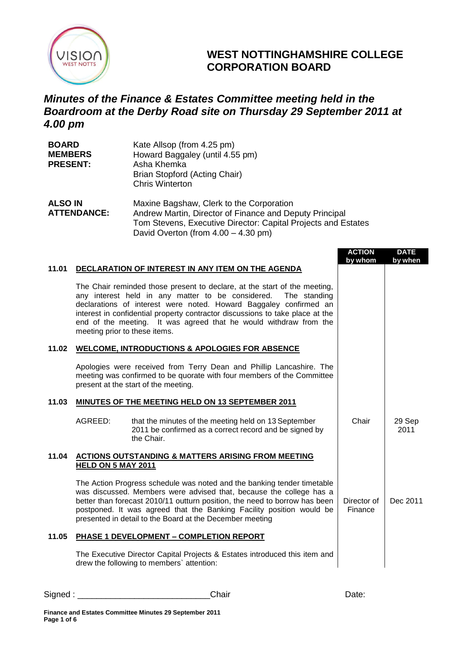

## **WEST NOTTINGHAMSHIRE COLLEGE CORPORATION BOARD**

## *Minutes of the Finance & Estates Committee meeting held in the Boardroom at the Derby Road site on Thursday 29 September 2011 at 4.00 pm*

| <b>BOARD</b>    | Kate Allsop (from 4.25 pm)      |
|-----------------|---------------------------------|
| <b>MEMBERS</b>  | Howard Baggaley (until 4.55 pm) |
| <b>PRESENT:</b> | Asha Khemka                     |
|                 | Brian Stopford (Acting Chair)   |
|                 | <b>Chris Winterton</b>          |

| <b>ALSO IN</b>     | Maxine Bagshaw, Clerk to the Corporation                      |
|--------------------|---------------------------------------------------------------|
| <b>ATTENDANCE:</b> | Andrew Martin, Director of Finance and Deputy Principal       |
|                    | Tom Stevens, Executive Director: Capital Projects and Estates |
|                    | David Overton (from $4.00 - 4.30$ pm)                         |

|       |                                                                                                                                                                                                                                                                                                                                                                                                            | <b>ACTION</b><br>by whom | <b>DATE</b><br>by when |
|-------|------------------------------------------------------------------------------------------------------------------------------------------------------------------------------------------------------------------------------------------------------------------------------------------------------------------------------------------------------------------------------------------------------------|--------------------------|------------------------|
| 11.01 | DECLARATION OF INTEREST IN ANY ITEM ON THE AGENDA                                                                                                                                                                                                                                                                                                                                                          |                          |                        |
|       | The Chair reminded those present to declare, at the start of the meeting,<br>any interest held in any matter to be considered.<br>The standing<br>declarations of interest were noted. Howard Baggaley confirmed an<br>interest in confidential property contractor discussions to take place at the<br>end of the meeting. It was agreed that he would withdraw from the<br>meeting prior to these items. |                          |                        |
| 11.02 | <b>WELCOME, INTRODUCTIONS &amp; APOLOGIES FOR ABSENCE</b>                                                                                                                                                                                                                                                                                                                                                  |                          |                        |
|       | Apologies were received from Terry Dean and Phillip Lancashire. The<br>meeting was confirmed to be quorate with four members of the Committee<br>present at the start of the meeting.                                                                                                                                                                                                                      |                          |                        |
| 11.03 | <b>MINUTES OF THE MEETING HELD ON 13 SEPTEMBER 2011</b>                                                                                                                                                                                                                                                                                                                                                    |                          |                        |
|       | AGREED:<br>that the minutes of the meeting held on 13 September<br>2011 be confirmed as a correct record and be signed by<br>the Chair.                                                                                                                                                                                                                                                                    | Chair                    | 29 Sep<br>2011         |
| 11.04 | <b>ACTIONS OUTSTANDING &amp; MATTERS ARISING FROM MEETING</b><br><b>HELD ON 5 MAY 2011</b>                                                                                                                                                                                                                                                                                                                 |                          |                        |
|       | The Action Progress schedule was noted and the banking tender timetable<br>was discussed. Members were advised that, because the college has a<br>better than forecast 2010/11 outturn position, the need to borrow has been<br>postponed. It was agreed that the Banking Facility position would be<br>presented in detail to the Board at the December meeting                                           | Director of<br>Finance   | Dec 2011               |
| 11.05 | PHASE 1 DEVELOPMENT - COMPLETION REPORT                                                                                                                                                                                                                                                                                                                                                                    |                          |                        |
|       | The Executive Director Capital Projects & Estates introduced this item and<br>drew the following to members' attention:                                                                                                                                                                                                                                                                                    |                          |                        |

Signed : \_\_\_\_\_\_\_\_\_\_\_\_\_\_\_\_\_\_\_\_\_\_\_\_\_\_\_\_Chair Date: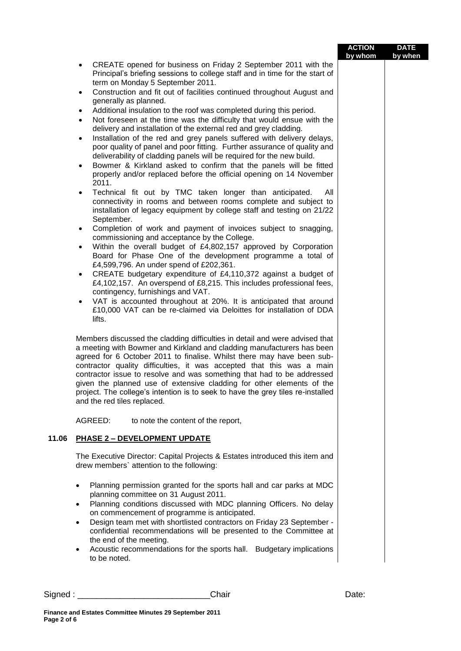|         |                                                                                                                                                                                                                                                                                                                                                                                                                                                                                                                                                                                                                                                                                                                                                                                                                                                                                                                                                                                                                                                                                                                                                                                                                                                                                                                                                                                                                                                                                                                                                                                                                                                                                                                                                                                                                                                                                                                                                                                                                                                   | <b>ACTION</b> | <b>DATE</b> |
|---------|---------------------------------------------------------------------------------------------------------------------------------------------------------------------------------------------------------------------------------------------------------------------------------------------------------------------------------------------------------------------------------------------------------------------------------------------------------------------------------------------------------------------------------------------------------------------------------------------------------------------------------------------------------------------------------------------------------------------------------------------------------------------------------------------------------------------------------------------------------------------------------------------------------------------------------------------------------------------------------------------------------------------------------------------------------------------------------------------------------------------------------------------------------------------------------------------------------------------------------------------------------------------------------------------------------------------------------------------------------------------------------------------------------------------------------------------------------------------------------------------------------------------------------------------------------------------------------------------------------------------------------------------------------------------------------------------------------------------------------------------------------------------------------------------------------------------------------------------------------------------------------------------------------------------------------------------------------------------------------------------------------------------------------------------------|---------------|-------------|
|         | CREATE opened for business on Friday 2 September 2011 with the<br>٠<br>Principal's briefing sessions to college staff and in time for the start of<br>term on Monday 5 September 2011.<br>Construction and fit out of facilities continued throughout August and<br>$\bullet$<br>generally as planned.<br>Additional insulation to the roof was completed during this period.<br>Not foreseen at the time was the difficulty that would ensue with the<br>$\bullet$<br>delivery and installation of the external red and grey cladding.<br>Installation of the red and grey panels suffered with delivery delays,<br>$\bullet$<br>poor quality of panel and poor fitting. Further assurance of quality and<br>deliverability of cladding panels will be required for the new build.<br>Bowmer & Kirkland asked to confirm that the panels will be fitted<br>$\bullet$<br>properly and/or replaced before the official opening on 14 November<br>2011.<br>Technical fit out by TMC taken longer than anticipated.<br>All<br>$\bullet$<br>connectivity in rooms and between rooms complete and subject to<br>installation of legacy equipment by college staff and testing on 21/22<br>September.<br>Completion of work and payment of invoices subject to snagging,<br>$\bullet$<br>commissioning and acceptance by the College.<br>Within the overall budget of £4,802,157 approved by Corporation<br>$\bullet$<br>Board for Phase One of the development programme a total of<br>£4,599,796. An under spend of £202,361.<br>CREATE budgetary expenditure of £4,110,372 against a budget of<br>$\bullet$<br>£4,102,157. An overspend of £8,215. This includes professional fees,<br>contingency, furnishings and VAT.<br>VAT is accounted throughout at 20%. It is anticipated that around<br>$\bullet$<br>£10,000 VAT can be re-claimed via Deloittes for installation of DDA<br>lifts.<br>Members discussed the cladding difficulties in detail and were advised that<br>a meeting with Bowmer and Kirkland and cladding manufacturers has been | by whom       | by when     |
|         | agreed for 6 October 2011 to finalise. Whilst there may have been sub-<br>contractor quality difficulties, it was accepted that this was a main<br>contractor issue to resolve and was something that had to be addressed<br>given the planned use of extensive cladding for other elements of the<br>project. The college's intention is to seek to have the grey tiles re-installed<br>and the red tiles replaced.                                                                                                                                                                                                                                                                                                                                                                                                                                                                                                                                                                                                                                                                                                                                                                                                                                                                                                                                                                                                                                                                                                                                                                                                                                                                                                                                                                                                                                                                                                                                                                                                                              |               |             |
|         | AGREED:<br>to note the content of the report,                                                                                                                                                                                                                                                                                                                                                                                                                                                                                                                                                                                                                                                                                                                                                                                                                                                                                                                                                                                                                                                                                                                                                                                                                                                                                                                                                                                                                                                                                                                                                                                                                                                                                                                                                                                                                                                                                                                                                                                                     |               |             |
| 11.06   | <b>PHASE 2 - DEVELOPMENT UPDATE</b>                                                                                                                                                                                                                                                                                                                                                                                                                                                                                                                                                                                                                                                                                                                                                                                                                                                                                                                                                                                                                                                                                                                                                                                                                                                                                                                                                                                                                                                                                                                                                                                                                                                                                                                                                                                                                                                                                                                                                                                                               |               |             |
|         | The Executive Director: Capital Projects & Estates introduced this item and<br>drew members' attention to the following:                                                                                                                                                                                                                                                                                                                                                                                                                                                                                                                                                                                                                                                                                                                                                                                                                                                                                                                                                                                                                                                                                                                                                                                                                                                                                                                                                                                                                                                                                                                                                                                                                                                                                                                                                                                                                                                                                                                          |               |             |
|         | Planning permission granted for the sports hall and car parks at MDC<br>$\bullet$<br>planning committee on 31 August 2011.<br>Planning conditions discussed with MDC planning Officers. No delay<br>$\bullet$<br>on commencement of programme is anticipated.<br>Design team met with shortlisted contractors on Friday 23 September -<br>$\bullet$<br>confidential recommendations will be presented to the Committee at<br>the end of the meeting.<br>Acoustic recommendations for the sports hall. Budgetary implications<br>to be noted.                                                                                                                                                                                                                                                                                                                                                                                                                                                                                                                                                                                                                                                                                                                                                                                                                                                                                                                                                                                                                                                                                                                                                                                                                                                                                                                                                                                                                                                                                                      |               |             |
| Signed: | Chair                                                                                                                                                                                                                                                                                                                                                                                                                                                                                                                                                                                                                                                                                                                                                                                                                                                                                                                                                                                                                                                                                                                                                                                                                                                                                                                                                                                                                                                                                                                                                                                                                                                                                                                                                                                                                                                                                                                                                                                                                                             | Date:         |             |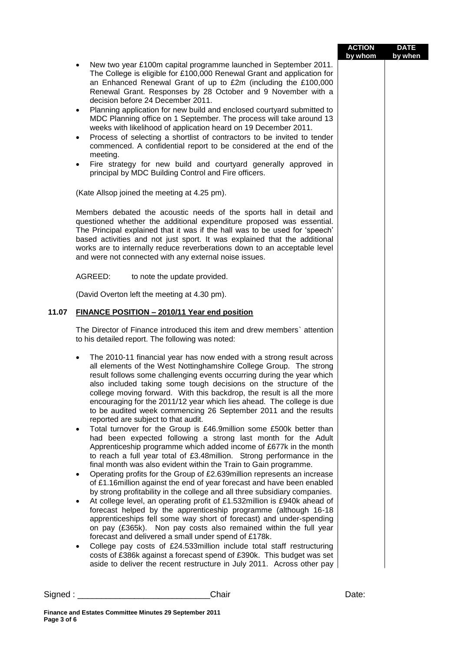|       |                                                                                                                                                                                                                                                                                                                                                                                                                                                                                                                                                                                                                                                                                                                                                                                                                                                                                                                                                                                                                                                                                                                                                                                                                                                                                                                                                                                                                                                                                                                                                                                                                                                                                                                                                                                                                                                                                                                             | <b>ACTION</b><br>by whom | <b>DATE</b><br>by when |
|-------|-----------------------------------------------------------------------------------------------------------------------------------------------------------------------------------------------------------------------------------------------------------------------------------------------------------------------------------------------------------------------------------------------------------------------------------------------------------------------------------------------------------------------------------------------------------------------------------------------------------------------------------------------------------------------------------------------------------------------------------------------------------------------------------------------------------------------------------------------------------------------------------------------------------------------------------------------------------------------------------------------------------------------------------------------------------------------------------------------------------------------------------------------------------------------------------------------------------------------------------------------------------------------------------------------------------------------------------------------------------------------------------------------------------------------------------------------------------------------------------------------------------------------------------------------------------------------------------------------------------------------------------------------------------------------------------------------------------------------------------------------------------------------------------------------------------------------------------------------------------------------------------------------------------------------------|--------------------------|------------------------|
|       | New two year £100m capital programme launched in September 2011.<br>$\bullet$<br>The College is eligible for £100,000 Renewal Grant and application for<br>an Enhanced Renewal Grant of up to £2m (including the £100,000<br>Renewal Grant. Responses by 28 October and 9 November with a<br>decision before 24 December 2011.<br>Planning application for new build and enclosed courtyard submitted to<br>$\bullet$<br>MDC Planning office on 1 September. The process will take around 13<br>weeks with likelihood of application heard on 19 December 2011.<br>Process of selecting a shortlist of contractors to be invited to tender<br>$\bullet$<br>commenced. A confidential report to be considered at the end of the<br>meeting.<br>Fire strategy for new build and courtyard generally approved in<br>$\bullet$<br>principal by MDC Building Control and Fire officers.<br>(Kate Allsop joined the meeting at 4.25 pm).<br>Members debated the acoustic needs of the sports hall in detail and<br>questioned whether the additional expenditure proposed was essential.<br>The Principal explained that it was if the hall was to be used for 'speech'<br>based activities and not just sport. It was explained that the additional<br>works are to internally reduce reverberations down to an acceptable level<br>and were not connected with any external noise issues.<br>AGREED:<br>to note the update provided.<br>(David Overton left the meeting at 4.30 pm).                                                                                                                                                                                                                                                                                                                                                                                                                                            |                          |                        |
| 11.07 | FINANCE POSITION - 2010/11 Year end position                                                                                                                                                                                                                                                                                                                                                                                                                                                                                                                                                                                                                                                                                                                                                                                                                                                                                                                                                                                                                                                                                                                                                                                                                                                                                                                                                                                                                                                                                                                                                                                                                                                                                                                                                                                                                                                                                |                          |                        |
|       | The Director of Finance introduced this item and drew members' attention<br>to his detailed report. The following was noted:<br>The 2010-11 financial year has now ended with a strong result across<br>$\bullet$<br>all elements of the West Nottinghamshire College Group. The strong<br>result follows some challenging events occurring during the year which<br>also included taking some tough decisions on the structure of the<br>college moving forward. With this backdrop, the result is all the more<br>encouraging for the 2011/12 year which lies ahead. The college is due<br>to be audited week commencing 26 September 2011 and the results<br>reported are subject to that audit.<br>Total turnover for the Group is £46.9million some £500k better than<br>$\bullet$<br>had been expected following a strong last month for the Adult<br>Apprenticeship programme which added income of £677k in the month<br>to reach a full year total of £3.48million. Strong performance in the<br>final month was also evident within the Train to Gain programme.<br>Operating profits for the Group of £2.639million represents an increase<br>$\bullet$<br>of £1.16 million against the end of year forecast and have been enabled<br>by strong profitability in the college and all three subsidiary companies.<br>At college level, an operating profit of £1.532million is £940k ahead of<br>$\bullet$<br>forecast helped by the apprenticeship programme (although 16-18<br>apprenticeships fell some way short of forecast) and under-spending<br>on pay (£365k). Non pay costs also remained within the full year<br>forecast and delivered a small under spend of £178k.<br>College pay costs of £24.533million include total staff restructuring<br>٠<br>costs of £386k against a forecast spend of £390k. This budget was set<br>aside to deliver the recent restructure in July 2011. Across other pay |                          |                        |
|       | Chair<br>Signed : ____________________________                                                                                                                                                                                                                                                                                                                                                                                                                                                                                                                                                                                                                                                                                                                                                                                                                                                                                                                                                                                                                                                                                                                                                                                                                                                                                                                                                                                                                                                                                                                                                                                                                                                                                                                                                                                                                                                                              | Date:                    |                        |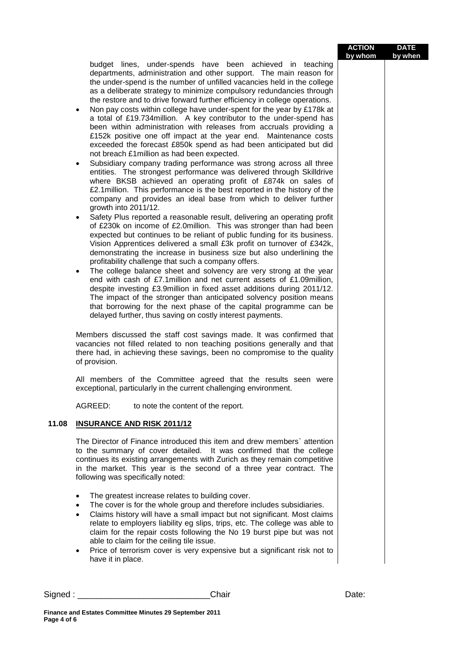## **ACTION by whom DATE by when**

budget lines, under-spends have been achieved in teaching departments, administration and other support. The main reason for the under-spend is the number of unfilled vacancies held in the college as a deliberate strategy to minimize compulsory redundancies through the restore and to drive forward further efficiency in college operations.

- Non pay costs within college have under-spent for the year by £178k at a total of £19.734million. A key contributor to the under-spend has been within administration with releases from accruals providing a £152k positive one off impact at the year end. Maintenance costs exceeded the forecast £850k spend as had been anticipated but did not breach £1million as had been expected.
- Subsidiary company trading performance was strong across all three entities. The strongest performance was delivered through Skilldrive where BKSB achieved an operating profit of £874k on sales of £2.1million. This performance is the best reported in the history of the company and provides an ideal base from which to deliver further growth into 2011/12.
- Safety Plus reported a reasonable result, delivering an operating profit of £230k on income of £2.0million. This was stronger than had been expected but continues to be reliant of public funding for its business. Vision Apprentices delivered a small £3k profit on turnover of £342k, demonstrating the increase in business size but also underlining the profitability challenge that such a company offers.
- The college balance sheet and solvency are very strong at the year end with cash of £7.1million and net current assets of £1.09million, despite investing £3.9million in fixed asset additions during 2011/12. The impact of the stronger than anticipated solvency position means that borrowing for the next phase of the capital programme can be delayed further, thus saving on costly interest payments.

Members discussed the staff cost savings made. It was confirmed that vacancies not filled related to non teaching positions generally and that there had, in achieving these savings, been no compromise to the quality of provision.

All members of the Committee agreed that the results seen were exceptional, particularly in the current challenging environment.

AGREED: to note the content of the report.

## **11.08 INSURANCE AND RISK 2011/12**

The Director of Finance introduced this item and drew members` attention to the summary of cover detailed. It was confirmed that the college continues its existing arrangements with Zurich as they remain competitive in the market. This year is the second of a three year contract. The following was specifically noted:

- The greatest increase relates to building cover.
- The cover is for the whole group and therefore includes subsidiaries.
- Claims history will have a small impact but not significant. Most claims relate to employers liability eg slips, trips, etc. The college was able to claim for the repair costs following the No 19 burst pipe but was not able to claim for the ceiling tile issue.
- Price of terrorism cover is very expensive but a significant risk not to have it in place.

| Signed | ;haır | vate. |
|--------|-------|-------|
|        |       |       |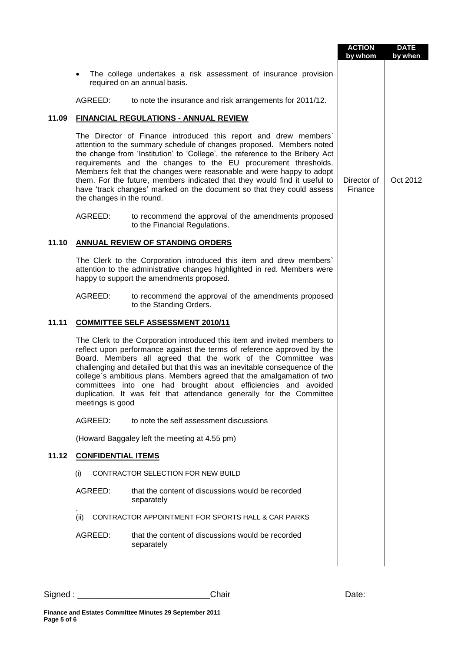|       |                                                                                                                                                                                                                                                                                                                                                                                                                                                                                                                                                        | <b>ACTION</b><br>by whom | <b>DATE</b><br>by when |
|-------|--------------------------------------------------------------------------------------------------------------------------------------------------------------------------------------------------------------------------------------------------------------------------------------------------------------------------------------------------------------------------------------------------------------------------------------------------------------------------------------------------------------------------------------------------------|--------------------------|------------------------|
|       | The college undertakes a risk assessment of insurance provision<br>required on an annual basis.                                                                                                                                                                                                                                                                                                                                                                                                                                                        |                          |                        |
|       | AGREED:<br>to note the insurance and risk arrangements for 2011/12.                                                                                                                                                                                                                                                                                                                                                                                                                                                                                    |                          |                        |
| 11.09 | FINANCIAL REGULATIONS - ANNUAL REVIEW                                                                                                                                                                                                                                                                                                                                                                                                                                                                                                                  |                          |                        |
|       | The Director of Finance introduced this report and drew members'<br>attention to the summary schedule of changes proposed. Members noted<br>the change from 'Institution' to 'College', the reference to the Bribery Act<br>requirements and the changes to the EU procurement thresholds.<br>Members felt that the changes were reasonable and were happy to adopt<br>them. For the future, members indicated that they would find it useful to<br>have 'track changes' marked on the document so that they could assess<br>the changes in the round. | Director of<br>Finance   | Oct 2012               |
|       | AGREED:<br>to recommend the approval of the amendments proposed<br>to the Financial Regulations.                                                                                                                                                                                                                                                                                                                                                                                                                                                       |                          |                        |
| 11.10 | <b>ANNUAL REVIEW OF STANDING ORDERS</b>                                                                                                                                                                                                                                                                                                                                                                                                                                                                                                                |                          |                        |
|       | The Clerk to the Corporation introduced this item and drew members'<br>attention to the administrative changes highlighted in red. Members were<br>happy to support the amendments proposed.                                                                                                                                                                                                                                                                                                                                                           |                          |                        |
|       | AGREED:<br>to recommend the approval of the amendments proposed<br>to the Standing Orders.                                                                                                                                                                                                                                                                                                                                                                                                                                                             |                          |                        |
| 11.11 | <b>COMMITTEE SELF ASSESSMENT 2010/11</b>                                                                                                                                                                                                                                                                                                                                                                                                                                                                                                               |                          |                        |
|       | The Clerk to the Corporation introduced this item and invited members to<br>reflect upon performance against the terms of reference approved by the<br>Board. Members all agreed that the work of the Committee was<br>challenging and detailed but that this was an inevitable consequence of the<br>college's ambitious plans. Members agreed that the amalgamation of two<br>committees into one had brought about efficiencies and avoided<br>duplication. It was felt that attendance generally for the Committee<br>meetings is good             |                          |                        |
|       | AGREED:<br>to note the self assessment discussions                                                                                                                                                                                                                                                                                                                                                                                                                                                                                                     |                          |                        |
|       | (Howard Baggaley left the meeting at 4.55 pm)                                                                                                                                                                                                                                                                                                                                                                                                                                                                                                          |                          |                        |
| 11.12 | <b>CONFIDENTIAL ITEMS</b>                                                                                                                                                                                                                                                                                                                                                                                                                                                                                                                              |                          |                        |
|       | CONTRACTOR SELECTION FOR NEW BUILD<br>(i)                                                                                                                                                                                                                                                                                                                                                                                                                                                                                                              |                          |                        |
|       | AGREED:<br>that the content of discussions would be recorded<br>separately                                                                                                                                                                                                                                                                                                                                                                                                                                                                             |                          |                        |
|       | (ii)<br>CONTRACTOR APPOINTMENT FOR SPORTS HALL & CAR PARKS                                                                                                                                                                                                                                                                                                                                                                                                                                                                                             |                          |                        |
|       | that the content of discussions would be recorded<br>AGREED:<br>separately                                                                                                                                                                                                                                                                                                                                                                                                                                                                             |                          |                        |
|       |                                                                                                                                                                                                                                                                                                                                                                                                                                                                                                                                                        |                          |                        |